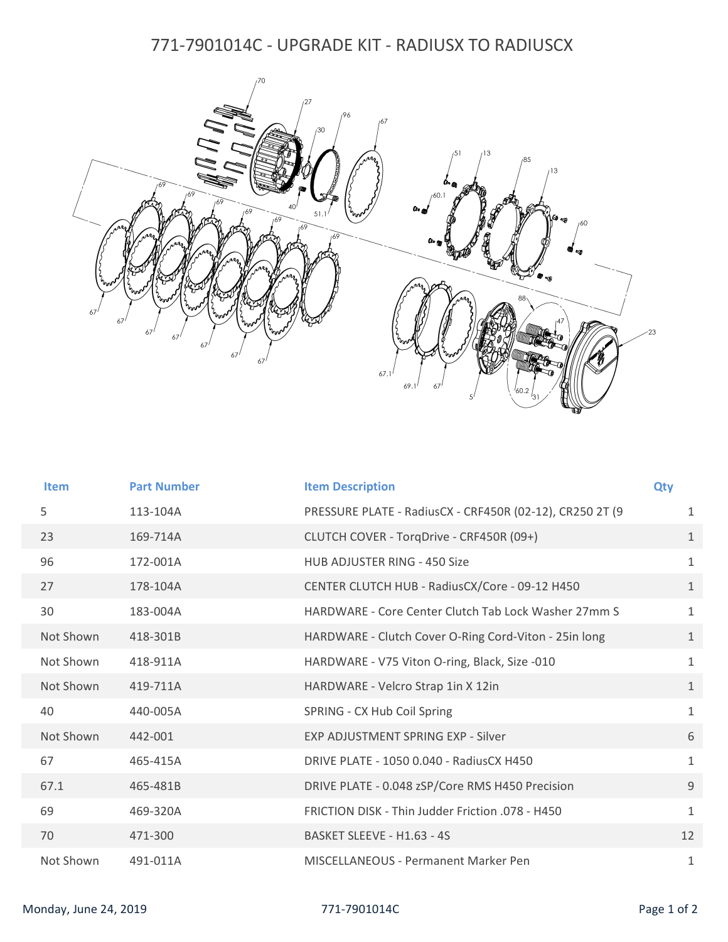## 771-7901014C - UPGRADE KIT - RADIUSX TO RADIUSCX



| <b>Item</b> | <b>Part Number</b> | <b>Item Description</b>                                  | Qty          |
|-------------|--------------------|----------------------------------------------------------|--------------|
| 5           | 113-104A           | PRESSURE PLATE - RadiusCX - CRF450R (02-12), CR250 2T (9 | $\mathbf{1}$ |
| 23          | 169-714A           | CLUTCH COVER - TorqDrive - CRF450R (09+)                 | $\mathbf{1}$ |
| 96          | 172-001A           | <b>HUB ADJUSTER RING - 450 Size</b>                      | $\mathbf{1}$ |
| 27          | 178-104A           | CENTER CLUTCH HUB - RadiusCX/Core - 09-12 H450           | $\mathbf{1}$ |
| 30          | 183-004A           | HARDWARE - Core Center Clutch Tab Lock Washer 27mm S     | $\mathbf{1}$ |
| Not Shown   | 418-301B           | HARDWARE - Clutch Cover O-Ring Cord-Viton - 25in long    | $\mathbf{1}$ |
| Not Shown   | 418-911A           | HARDWARE - V75 Viton O-ring, Black, Size -010            | $\mathbf{1}$ |
| Not Shown   | 419-711A           | HARDWARE - Velcro Strap 1in X 12in                       | $\mathbf{1}$ |
| 40          | 440-005A           | SPRING - CX Hub Coil Spring                              | $\mathbf{1}$ |
| Not Shown   | 442-001            | <b>EXP ADJUSTMENT SPRING EXP - Silver</b>                | 6            |
| 67          | 465-415A           | DRIVE PLATE - 1050 0.040 - RadiusCX H450                 | $\mathbf{1}$ |
| 67.1        | 465-481B           | DRIVE PLATE - 0.048 zSP/Core RMS H450 Precision          | 9            |
| 69          | 469-320A           | FRICTION DISK - Thin Judder Friction .078 - H450         | $\mathbf{1}$ |
| 70          | 471-300            | BASKET SLEEVE - H1.63 - 4S                               | 12           |
| Not Shown   | 491-011A           | MISCELLANEOUS - Permanent Marker Pen                     | $\mathbf{1}$ |